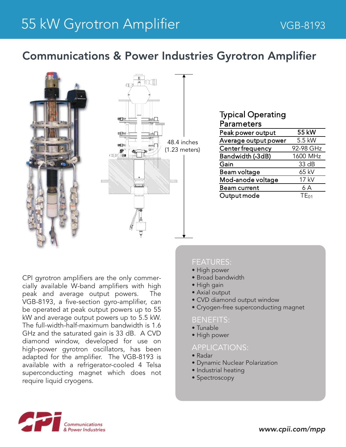# Communications & Power Industries Gyrotron Amplifier



## Typical Operating Parameters

| Peak power output    | 55 kW            |
|----------------------|------------------|
| Average output power | 5.5 kW           |
| Center frequency     | 92-98 GHz        |
| Bandwidth (-3dB)     | 1600 MHz         |
| Gain                 | 33 dB            |
| Beam voltage         | 65 kV            |
| Mod-anode voltage    | 17 kV            |
| <b>Beam current</b>  | 6 A              |
| Output mode          | TE <sub>01</sub> |
|                      |                  |

CPI gyrotron amplifiers are the only commercially available W-band amplifiers with high peak and average output powers. The VGB-8193, a five-section gyro-amplifier, can be operated at peak output powers up to 55 kW and average output powers up to 5.5 kW. The full-width-half-maximum bandwidth is 1.6 GHz and the saturated gain is 33 dB. A CVD diamond window, developed for use on high-power gyrotron oscillators, has been adapted for the amplifier. The VGB-8193 is available with a refrigerator-cooled 4 Telsa superconducting magnet which does not require liquid cryogens.

### FEATURES:

- High power
- Broad bandwidth
- High gain
- Axial output
- CVD diamond output window
- Cryogen-free superconducting magnet

#### BENEFITS:

- Tunable
- High power

#### APPLICATIONS:

- Radar
- Dynamic Nuclear Polarization
- Industrial heating
- Spectroscopy